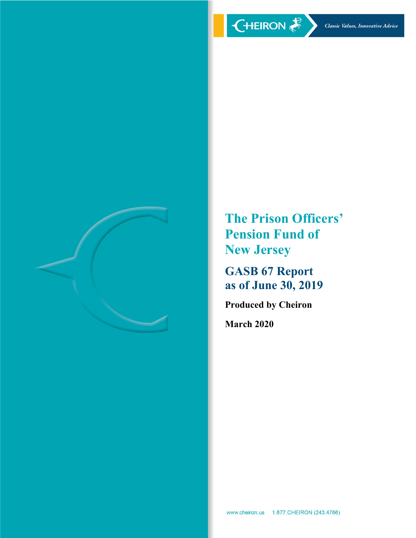

**The Prison Officers' Pension Fund of New Jersey**

**GASB 67 Report as of June 30, 2019**

**Produced by Cheiron**

**March 2020**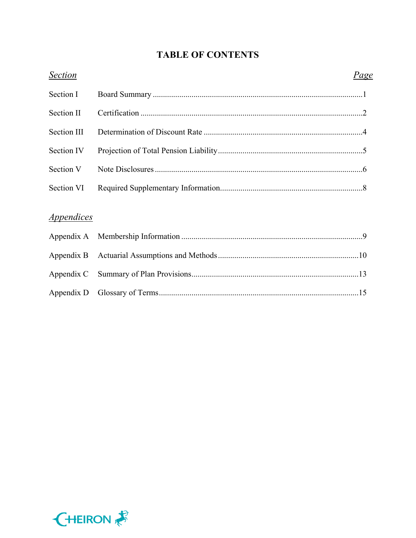# **TABLE OF CONTENTS**

| <b>Section</b>                  | Page |
|---------------------------------|------|
| Section I                       |      |
| Section II                      |      |
| Section III                     |      |
| Section IV                      |      |
| Section V                       |      |
| Section VI                      |      |
| <i><u><b>Appendices</b></u></i> |      |
|                                 |      |
|                                 |      |

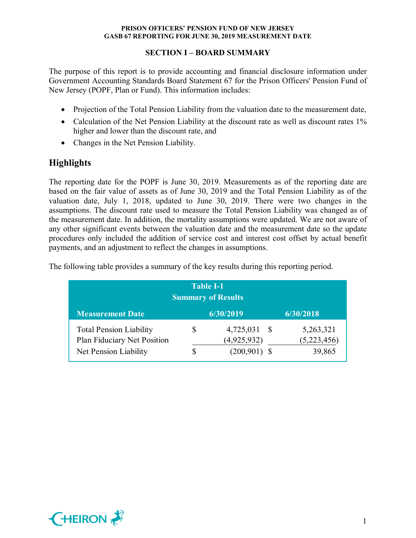# **SECTION I – BOARD SUMMARY**

The purpose of this report is to provide accounting and financial disclosure information under Government Accounting Standards Board Statement 67 for the Prison Officers' Pension Fund of New Jersey (POPF, Plan or Fund). This information includes:

- Projection of the Total Pension Liability from the valuation date to the measurement date,
- Calculation of the Net Pension Liability at the discount rate as well as discount rates 1% higher and lower than the discount rate, and
- Changes in the Net Pension Liability.

# **Highlights**

The reporting date for the POPF is June 30, 2019. Measurements as of the reporting date are based on the fair value of assets as of June 30, 2019 and the Total Pension Liability as of the valuation date, July 1, 2018, updated to June 30, 2019. There were two changes in the assumptions. The discount rate used to measure the Total Pension Liability was changed as of the measurement date. In addition, the mortality assumptions were updated. We are not aware of any other significant events between the valuation date and the measurement date so the update procedures only included the addition of service cost and interest cost offset by actual benefit payments, and an adjustment to reflect the changes in assumptions.

| <b>Table I-1</b><br><b>Summary of Results</b>                                          |         |                                            |                                    |
|----------------------------------------------------------------------------------------|---------|--------------------------------------------|------------------------------------|
| <b>Measurement Date</b>                                                                |         | 6/30/2019                                  | 6/30/2018                          |
| <b>Total Pension Liability</b><br>Plan Fiduciary Net Position<br>Net Pension Liability | \$<br>S | 4,725,031<br>(4,925,932)<br>$(200,901)$ \$ | 5,263,321<br>(5,223,456)<br>39,865 |

The following table provides a summary of the key results during this reporting period.

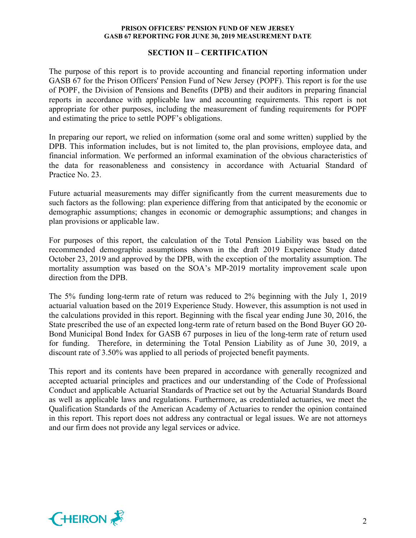#### **SECTION II – CERTIFICATION**

The purpose of this report is to provide accounting and financial reporting information under GASB 67 for the Prison Officers' Pension Fund of New Jersey (POPF). This report is for the use of POPF, the Division of Pensions and Benefits (DPB) and their auditors in preparing financial reports in accordance with applicable law and accounting requirements. This report is not appropriate for other purposes, including the measurement of funding requirements for POPF and estimating the price to settle POPF's obligations.

In preparing our report, we relied on information (some oral and some written) supplied by the DPB. This information includes, but is not limited to, the plan provisions, employee data, and financial information. We performed an informal examination of the obvious characteristics of the data for reasonableness and consistency in accordance with Actuarial Standard of Practice No. 23.

Future actuarial measurements may differ significantly from the current measurements due to such factors as the following: plan experience differing from that anticipated by the economic or demographic assumptions; changes in economic or demographic assumptions; and changes in plan provisions or applicable law.

For purposes of this report, the calculation of the Total Pension Liability was based on the recommended demographic assumptions shown in the draft 2019 Experience Study dated October 23, 2019 and approved by the DPB, with the exception of the mortality assumption. The mortality assumption was based on the SOA's MP-2019 mortality improvement scale upon direction from the DPB.

The 5% funding long-term rate of return was reduced to 2% beginning with the July 1, 2019 actuarial valuation based on the 2019 Experience Study. However, this assumption is not used in the calculations provided in this report. Beginning with the fiscal year ending June 30, 2016, the State prescribed the use of an expected long-term rate of return based on the Bond Buyer GO 20- Bond Municipal Bond Index for GASB 67 purposes in lieu of the long-term rate of return used for funding. Therefore, in determining the Total Pension Liability as of June 30, 2019, a discount rate of 3.50% was applied to all periods of projected benefit payments.

This report and its contents have been prepared in accordance with generally recognized and accepted actuarial principles and practices and our understanding of the Code of Professional Conduct and applicable Actuarial Standards of Practice set out by the Actuarial Standards Board as well as applicable laws and regulations. Furthermore, as credentialed actuaries, we meet the Qualification Standards of the American Academy of Actuaries to render the opinion contained in this report. This report does not address any contractual or legal issues. We are not attorneys and our firm does not provide any legal services or advice.

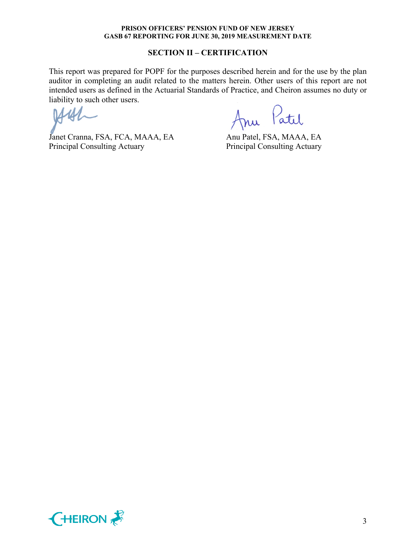#### **SECTION II – CERTIFICATION**

This report was prepared for POPF for the purposes described herein and for the use by the plan auditor in completing an audit related to the matters herein. Other users of this report are not intended users as defined in the Actuarial Standards of Practice, and Cheiron assumes no duty or liability to such other users.

Janet Cranna, FSA, FCA, MAAA, EA Anu Patel, FSA, MAAA, EA Principal Consulting Actuary Principal Consulting Actuary

Anu Patil

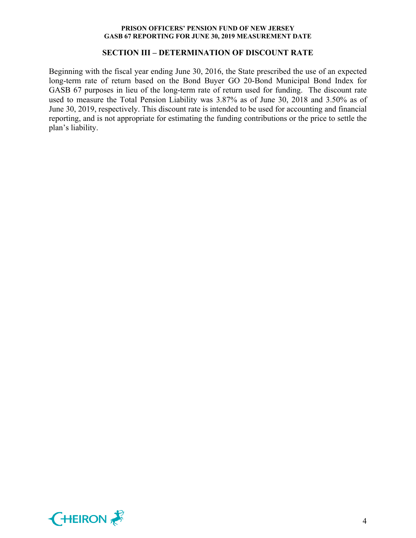#### **SECTION III – DETERMINATION OF DISCOUNT RATE**

Beginning with the fiscal year ending June 30, 2016, the State prescribed the use of an expected long-term rate of return based on the Bond Buyer GO 20-Bond Municipal Bond Index for GASB 67 purposes in lieu of the long-term rate of return used for funding. The discount rate used to measure the Total Pension Liability was 3.87% as of June 30, 2018 and 3.50% as of June 30, 2019, respectively. This discount rate is intended to be used for accounting and financial reporting, and is not appropriate for estimating the funding contributions or the price to settle the plan's liability.

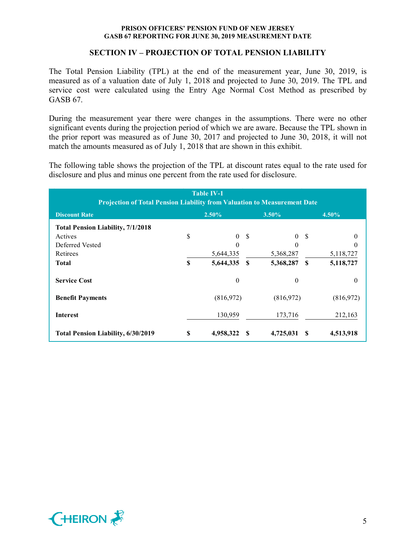## **SECTION IV – PROJECTION OF TOTAL PENSION LIABILITY**

The Total Pension Liability (TPL) at the end of the measurement year, June 30, 2019, is measured as of a valuation date of July 1, 2018 and projected to June 30, 2019. The TPL and service cost were calculated using the Entry Age Normal Cost Method as prescribed by GASB 67.

During the measurement year there were changes in the assumptions. There were no other significant events during the projection period of which we are aware. Because the TPL shown in the prior report was measured as of June 30, 2017 and projected to June 30, 2018, it will not match the amounts measured as of July 1, 2018 that are shown in this exhibit.

The following table shows the projection of the TPL at discount rates equal to the rate used for disclosure and plus and minus one percent from the rate used for disclosure.

| <b>Table IV-1</b><br><b>Projection of Total Pension Liability from Valuation to Measurement Date</b> |    |                |          |              |               |                  |
|------------------------------------------------------------------------------------------------------|----|----------------|----------|--------------|---------------|------------------|
| <b>Discount Rate</b>                                                                                 |    | $2.50\%$       |          | $3.50\%$     |               | 4.50%            |
| <b>Total Pension Liability, 7/1/2018</b>                                                             |    |                |          |              |               |                  |
| Actives                                                                                              | \$ | $\theta$       | -S       | $\theta$     | -S            | 0                |
| Deferred Vested                                                                                      |    | $\Omega$       |          | 0            |               | 0                |
| Retirees                                                                                             |    | 5,644,335      |          | 5,368,287    |               | 5,118,727        |
| Total                                                                                                | \$ | 5,644,335      | <b>S</b> | 5,368,287    | <sup>\$</sup> | 5,118,727        |
| <b>Service Cost</b>                                                                                  |    | $\overline{0}$ |          | $\mathbf{0}$ |               | $\boldsymbol{0}$ |
| <b>Benefit Payments</b>                                                                              |    | (816,972)      |          | (816,972)    |               | (816,972)        |
| <b>Interest</b>                                                                                      |    | 130,959        |          | 173,716      |               | 212,163          |
| <b>Total Pension Liability, 6/30/2019</b>                                                            | \$ | 4,958,322      |          | 4,725,031    | -S            | 4,513,918        |

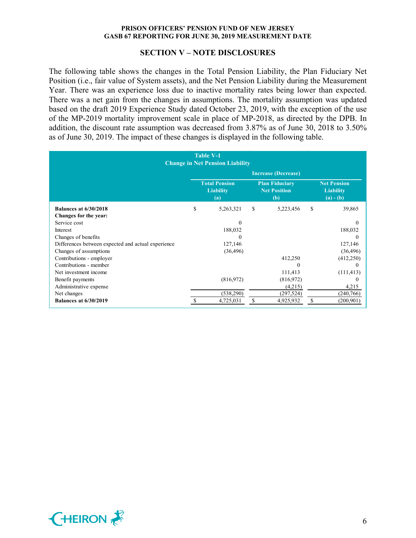#### **SECTION V – NOTE DISCLOSURES**

The following table shows the changes in the Total Pension Liability, the Plan Fiduciary Net Position (i.e., fair value of System assets), and the Net Pension Liability during the Measurement Year. There was an experience loss due to inactive mortality rates being lower than expected. There was a net gain from the changes in assumptions. The mortality assumption was updated based on the draft 2019 Experience Study dated October 23, 2019, with the exception of the use of the MP-2019 mortality improvement scale in place of MP-2018, as directed by the DPB. In addition, the discount rate assumption was decreased from 3.87% as of June 30, 2018 to 3.50% as of June 30, 2019. The impact of these changes is displayed in the following table.

| <b>Table V-1</b><br><b>Change in Net Pension Liability</b> |                            |                                                 |    |                                                     |     |                                                       |
|------------------------------------------------------------|----------------------------|-------------------------------------------------|----|-----------------------------------------------------|-----|-------------------------------------------------------|
|                                                            | <b>Increase (Decrease)</b> |                                                 |    |                                                     |     |                                                       |
|                                                            |                            | <b>Total Pension</b><br><b>Liability</b><br>(a) |    | <b>Plan Fiduciary</b><br><b>Net Position</b><br>(b) |     | <b>Net Pension</b><br><b>Liability</b><br>$(a) - (b)$ |
| <b>Balances at 6/30/2018</b>                               | S                          | 5,263,321                                       | S. | 5,223,456                                           | \$. | 39,865                                                |
| Changes for the year:                                      |                            |                                                 |    |                                                     |     |                                                       |
| Service cost                                               |                            | 0                                               |    |                                                     |     | $\Omega$                                              |
| Interest                                                   |                            | 188,032                                         |    |                                                     |     | 188,032                                               |
| Changes of benefits                                        |                            | 0                                               |    |                                                     |     | 0                                                     |
| Differences between expected and actual experience         |                            | 127,146                                         |    |                                                     |     | 127,146                                               |
| Changes of assumptions                                     |                            | (36, 496)                                       |    |                                                     |     | (36, 496)                                             |
| Contributions - employer                                   |                            |                                                 |    | 412,250                                             |     | (412,250)                                             |
| Contributions - member                                     |                            |                                                 |    | $\Omega$                                            |     | 0                                                     |
| Net investment income                                      |                            |                                                 |    | 111,413                                             |     | (111, 413)                                            |
| Benefit payments                                           |                            | (816,972)                                       |    | (816,972)                                           |     | 0                                                     |
| Administrative expense                                     |                            |                                                 |    | (4,215)                                             |     | 4,215                                                 |
| Net changes                                                |                            | (538,290)                                       |    | (297, 524)                                          |     | (240,766)                                             |
| <b>Balances at 6/30/2019</b>                               |                            | 4,725,031                                       | \$ | 4,925,932                                           | \$  | (200, 901)                                            |

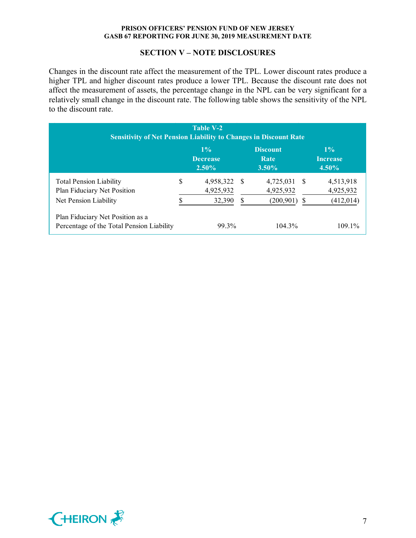# **SECTION V – NOTE DISCLOSURES**

Changes in the discount rate affect the measurement of the TPL. Lower discount rates produce a higher TPL and higher discount rates produce a lower TPL. Because the discount rate does not affect the measurement of assets, the percentage change in the NPL can be very significant for a relatively small change in the discount rate. The following table shows the sensitivity of the NPL to the discount rate.

| Table V-2<br><b>Sensitivity of Net Pension Liability to Changes in Discount Rate</b> |    |                                      |    |                                     |      |                                      |
|--------------------------------------------------------------------------------------|----|--------------------------------------|----|-------------------------------------|------|--------------------------------------|
|                                                                                      |    | $1\%$<br><b>Decrease</b><br>$2.50\%$ |    | <b>Discount</b><br>Rate<br>$3.50\%$ |      | $1\%$<br><b>Increase</b><br>$4.50\%$ |
| <b>Total Pension Liability</b><br>Plan Fiduciary Net Position                        | \$ | 4,958,322<br>4,925,932               | -S | 4,725,031<br>4,925,932              | - \$ | 4,513,918<br>4,925,932               |
| Net Pension Liability<br>Plan Fiduciary Net Position as a                            |    | 32,390                               | S  | (200, 901)                          | S    | (412, 014)                           |
| Percentage of the Total Pension Liability                                            |    | 99.3%                                |    | $104.3\%$                           |      | 109.1%                               |

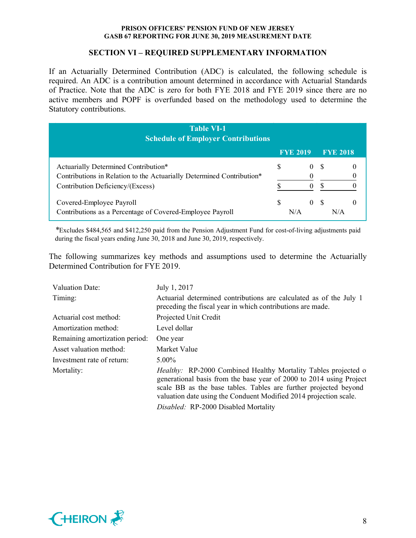# **SECTION VI – REQUIRED SUPPLEMENTARY INFORMATION**

If an Actuarially Determined Contribution (ADC) is calculated, the following schedule is required. An ADC is a contribution amount determined in accordance with Actuarial Standards of Practice. Note that the ADC is zero for both FYE 2018 and FYE 2019 since there are no active members and POPF is overfunded based on the methodology used to determine the Statutory contributions.

| <b>Table VI-1</b><br><b>Schedule of Employer Contributions</b>                                                                                    |   |                   |      |                 |
|---------------------------------------------------------------------------------------------------------------------------------------------------|---|-------------------|------|-----------------|
|                                                                                                                                                   |   | <b>FYE 2019</b>   |      | <b>FYE 2018</b> |
| Actuarially Determined Contribution*<br>Contributions in Relation to the Actuarially Determined Contribution*<br>Contribution Deficiency/(Excess) |   | $\mathbf{\Omega}$ | - \$ |                 |
| Covered-Employee Payroll<br>Contributions as a Percentage of Covered-Employee Payroll                                                             | S | 0 S<br>N/A        |      | N/A             |

*\**Excludes \$484,565 and \$412,250 paid from the Pension Adjustment Fund for cost-of-living adjustments paid during the fiscal years ending June 30, 2018 and June 30, 2019, respectively.

The following summarizes key methods and assumptions used to determine the Actuarially Determined Contribution for FYE 2019.

| <b>Valuation Date:</b>         | July 1, 2017                                                                                                                                                                                                                                                                                                                  |
|--------------------------------|-------------------------------------------------------------------------------------------------------------------------------------------------------------------------------------------------------------------------------------------------------------------------------------------------------------------------------|
| Timing:                        | Actuarial determined contributions are calculated as of the July 1<br>preceding the fiscal year in which contributions are made.                                                                                                                                                                                              |
| Actuarial cost method:         | Projected Unit Credit                                                                                                                                                                                                                                                                                                         |
| Amortization method:           | Level dollar                                                                                                                                                                                                                                                                                                                  |
| Remaining amortization period: | One year                                                                                                                                                                                                                                                                                                                      |
| Asset valuation method:        | Market Value                                                                                                                                                                                                                                                                                                                  |
| Investment rate of return:     | $5.00\%$                                                                                                                                                                                                                                                                                                                      |
| Mortality:                     | <i>Healthy:</i> RP-2000 Combined Healthy Mortality Tables projected o<br>generational basis from the base year of 2000 to 2014 using Project<br>scale BB as the base tables. Tables are further projected beyond<br>valuation date using the Conduent Modified 2014 projection scale.<br>Disabled: RP-2000 Disabled Mortality |

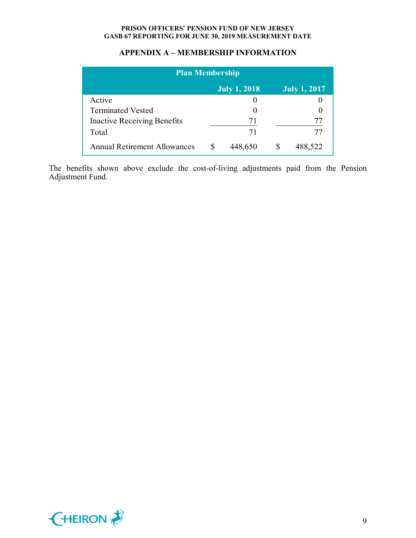# **APPENDIX A – MEMBERSHIP INFORMATION**

| <b>Plan Membership</b>              |  |                     |  |                     |
|-------------------------------------|--|---------------------|--|---------------------|
|                                     |  | <b>July 1, 2018</b> |  | <b>July 1, 2017</b> |
| Active                              |  |                     |  |                     |
| <b>Terminated Vested</b>            |  |                     |  |                     |
| <b>Inactive Receiving Benefits</b>  |  | 71                  |  | 77                  |
| Total                               |  | 71                  |  | 77                  |
| <b>Annual Retirement Allowances</b> |  | 448,650             |  | 488,522             |

The benefits shown above exclude the cost-of-living adjustments paid from the Pension Adjustment Fund.

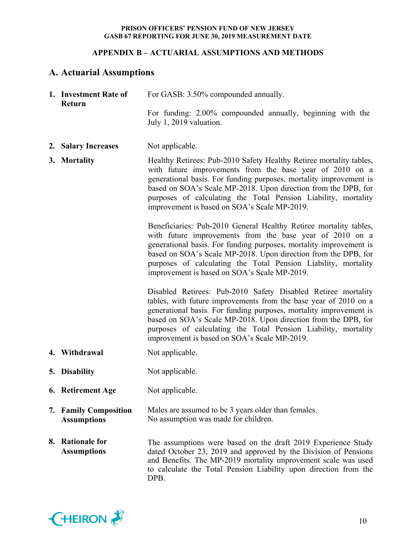# **APPENDIX B – ACTUARIAL ASSUMPTIONS AND METHODS**

# **A. Actuarial Assumptions**

| 1. Investment Rate of<br>Return             | For GASB: 3.50% compounded annually.                                                                                                                                                                                                                                                                                                                                                        |
|---------------------------------------------|---------------------------------------------------------------------------------------------------------------------------------------------------------------------------------------------------------------------------------------------------------------------------------------------------------------------------------------------------------------------------------------------|
|                                             | For funding: 2.00% compounded annually, beginning with the<br>July 1, 2019 valuation.                                                                                                                                                                                                                                                                                                       |
| 2. Salary Increases                         | Not applicable.                                                                                                                                                                                                                                                                                                                                                                             |
| 3. Mortality                                | Healthy Retirees: Pub-2010 Safety Healthy Retiree mortality tables,<br>with future improvements from the base year of 2010 on a<br>generational basis. For funding purposes, mortality improvement is<br>based on SOA's Scale MP-2018. Upon direction from the DPB, for<br>purposes of calculating the Total Pension Liability, mortality<br>improvement is based on SOA's Scale MP-2019.   |
|                                             | Beneficiaries: Pub-2010 General Healthy Retiree mortality tables,<br>with future improvements from the base year of 2010 on a<br>generational basis. For funding purposes, mortality improvement is<br>based on SOA's Scale MP-2018. Upon direction from the DPB, for<br>purposes of calculating the Total Pension Liability, mortality<br>improvement is based on SOA's Scale MP-2019.     |
|                                             | Disabled Retirees: Pub-2010 Safety Disabled Retiree mortality<br>tables, with future improvements from the base year of 2010 on a<br>generational basis. For funding purposes, mortality improvement is<br>based on SOA's Scale MP-2018. Upon direction from the DPB, for<br>purposes of calculating the Total Pension Liability, mortality<br>improvement is based on SOA's Scale MP-2019. |
| 4. Withdrawal                               | Not applicable.                                                                                                                                                                                                                                                                                                                                                                             |
| 5. Disability                               | Not applicable.                                                                                                                                                                                                                                                                                                                                                                             |
| 6. Retirement Age                           | Not applicable.                                                                                                                                                                                                                                                                                                                                                                             |
| 7. Family Composition<br><b>Assumptions</b> | Males are assumed to be 3 years older than females.<br>No assumption was made for children.                                                                                                                                                                                                                                                                                                 |
| 8. Rationale for<br><b>Assumptions</b>      | The assumptions were based on the draft 2019 Experience Study<br>dated October 23, 2019 and approved by the Division of Pensions<br>and Benefits. The MP-2019 mortality improvement scale was used<br>to calculate the Total Pension Liability upon direction from the<br>DPB.                                                                                                              |

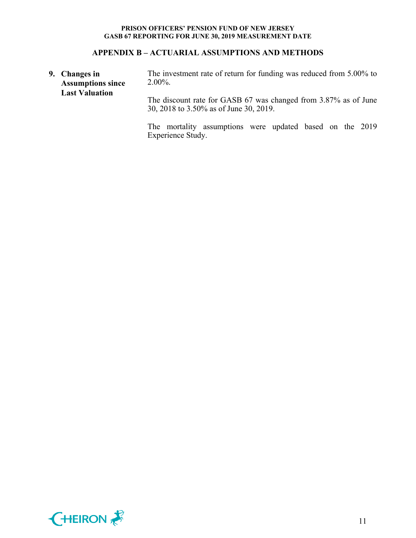# **APPENDIX B – ACTUARIAL ASSUMPTIONS AND METHODS**

**9. Changes in Assumptions since Last Valuation** The investment rate of return for funding was reduced from 5.00% to 2.00%. The discount rate for GASB 67 was changed from 3.87% as of June 30, 2018 to 3.50% as of June 30, 2019.

> The mortality assumptions were updated based on the 2019 Experience Study.

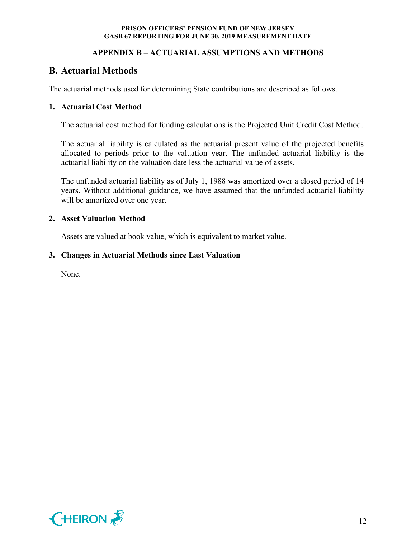# **APPENDIX B – ACTUARIAL ASSUMPTIONS AND METHODS**

# **B. Actuarial Methods**

The actuarial methods used for determining State contributions are described as follows.

# **1. Actuarial Cost Method**

The actuarial cost method for funding calculations is the Projected Unit Credit Cost Method.

The actuarial liability is calculated as the actuarial present value of the projected benefits allocated to periods prior to the valuation year. The unfunded actuarial liability is the actuarial liability on the valuation date less the actuarial value of assets.

The unfunded actuarial liability as of July 1, 1988 was amortized over a closed period of 14 years. Without additional guidance, we have assumed that the unfunded actuarial liability will be amortized over one year.

## **2. Asset Valuation Method**

Assets are valued at book value, which is equivalent to market value.

## **3. Changes in Actuarial Methods since Last Valuation**

None.

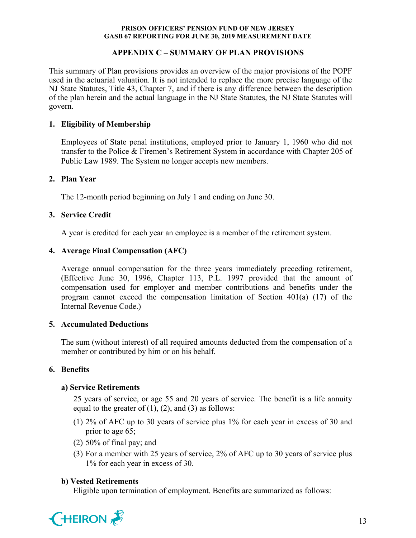# **APPENDIX C – SUMMARY OF PLAN PROVISIONS**

This summary of Plan provisions provides an overview of the major provisions of the POPF used in the actuarial valuation. It is not intended to replace the more precise language of the NJ State Statutes, Title 43, Chapter 7, and if there is any difference between the description of the plan herein and the actual language in the NJ State Statutes, the NJ State Statutes will govern.

# **1. Eligibility of Membership**

Employees of State penal institutions, employed prior to January 1, 1960 who did not transfer to the Police & Firemen's Retirement System in accordance with Chapter 205 of Public Law 1989. The System no longer accepts new members.

## **2. Plan Year**

The 12-month period beginning on July 1 and ending on June 30.

# **3. Service Credit**

A year is credited for each year an employee is a member of the retirement system.

# **4. Average Final Compensation (AFC)**

Average annual compensation for the three years immediately preceding retirement, (Effective June 30, 1996, Chapter 113, P.L. 1997 provided that the amount of compensation used for employer and member contributions and benefits under the program cannot exceed the compensation limitation of Section 401(a) (17) of the Internal Revenue Code.)

## **5. Accumulated Deductions**

The sum (without interest) of all required amounts deducted from the compensation of a member or contributed by him or on his behalf.

# **6. Benefits**

## **a) Service Retirements**

25 years of service, or age 55 and 20 years of service. The benefit is a life annuity equal to the greater of  $(1)$ ,  $(2)$ , and  $(3)$  as follows:

- (1) 2% of AFC up to 30 years of service plus 1% for each year in excess of 30 and prior to age 65;
- (2) 50% of final pay; and
- (3) For a member with 25 years of service, 2% of AFC up to 30 years of service plus 1% for each year in excess of 30.

## **b) Vested Retirements**

Eligible upon termination of employment. Benefits are summarized as follows:

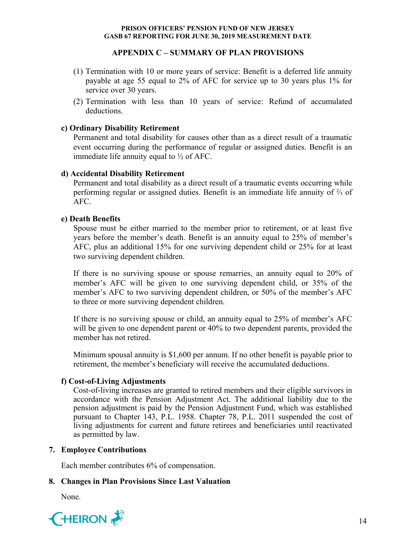## **APPENDIX C – SUMMARY OF PLAN PROVISIONS**

- (1) Termination with 10 or more years of service: Benefit is a deferred life annuity payable at age 55 equal to 2% of AFC for service up to 30 years plus 1% for service over 30 years.
- (2) Termination with less than 10 years of service: Refund of accumulated deductions.

# **c) Ordinary Disability Retirement**

Permanent and total disability for causes other than as a direct result of a traumatic event occurring during the performance of regular or assigned duties. Benefit is an immediate life annuity equal to  $\frac{1}{2}$  of AFC.

# **d) Accidental Disability Retirement**

Permanent and total disability as a direct result of a traumatic events occurring while performing regular or assigned duties. Benefit is an immediate life annuity of ⅔ of AFC.

# **e) Death Benefits**

Spouse must be either married to the member prior to retirement, or at least five years before the member's death. Benefit is an annuity equal to 25% of member's AFC, plus an additional 15% for one surviving dependent child or 25% for at least two surviving dependent children.

If there is no surviving spouse or spouse remarries, an annuity equal to 20% of member's AFC will be given to one surviving dependent child, or 35% of the member's AFC to two surviving dependent children, or 50% of the member's AFC to three or more surviving dependent children.

If there is no surviving spouse or child, an annuity equal to 25% of member's AFC will be given to one dependent parent or 40% to two dependent parents, provided the member has not retired.

Minimum spousal annuity is \$1,600 per annum. If no other benefit is payable prior to retirement, the member's beneficiary will receive the accumulated deductions.

# **f) Cost-of-Living Adjustments**

Cost-of-living increases are granted to retired members and their eligible survivors in accordance with the Pension Adjustment Act. The additional liability due to the pension adjustment is paid by the Pension Adjustment Fund, which was established pursuant to Chapter 143, P.L. 1958. Chapter 78, P.L. 2011 suspended the cost of living adjustments for current and future retirees and beneficiaries until reactivated as permitted by law.

## **7. Employee Contributions**

Each member contributes 6% of compensation.

# **8. Changes in Plan Provisions Since Last Valuation**

None.

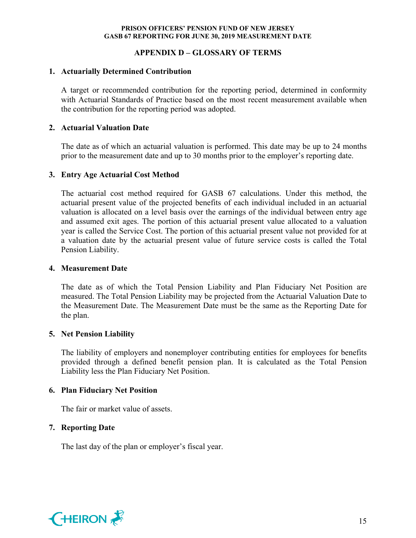## **APPENDIX D – GLOSSARY OF TERMS**

## **1. Actuarially Determined Contribution**

A target or recommended contribution for the reporting period, determined in conformity with Actuarial Standards of Practice based on the most recent measurement available when the contribution for the reporting period was adopted.

## **2. Actuarial Valuation Date**

The date as of which an actuarial valuation is performed. This date may be up to 24 months prior to the measurement date and up to 30 months prior to the employer's reporting date.

## **3. Entry Age Actuarial Cost Method**

The actuarial cost method required for GASB 67 calculations. Under this method, the actuarial present value of the projected benefits of each individual included in an actuarial valuation is allocated on a level basis over the earnings of the individual between entry age and assumed exit ages. The portion of this actuarial present value allocated to a valuation year is called the Service Cost. The portion of this actuarial present value not provided for at a valuation date by the actuarial present value of future service costs is called the Total Pension Liability.

#### **4. Measurement Date**

The date as of which the Total Pension Liability and Plan Fiduciary Net Position are measured. The Total Pension Liability may be projected from the Actuarial Valuation Date to the Measurement Date. The Measurement Date must be the same as the Reporting Date for the plan.

## **5. Net Pension Liability**

The liability of employers and nonemployer contributing entities for employees for benefits provided through a defined benefit pension plan. It is calculated as the Total Pension Liability less the Plan Fiduciary Net Position.

## **6. Plan Fiduciary Net Position**

The fair or market value of assets.

## **7. Reporting Date**

The last day of the plan or employer's fiscal year.